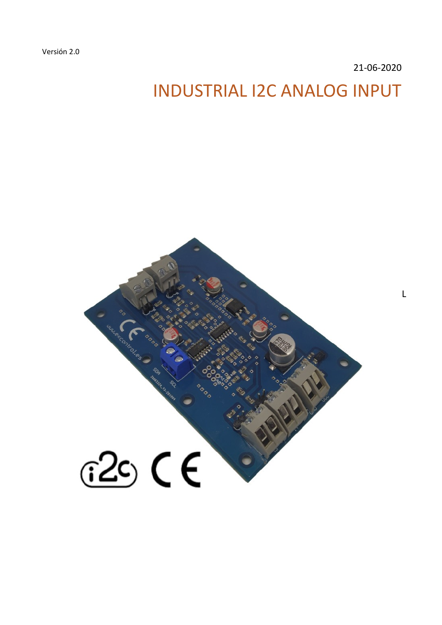Versión 2.0

21-06-2020

L

# INDUSTRIAL I2C ANALOG INPUT

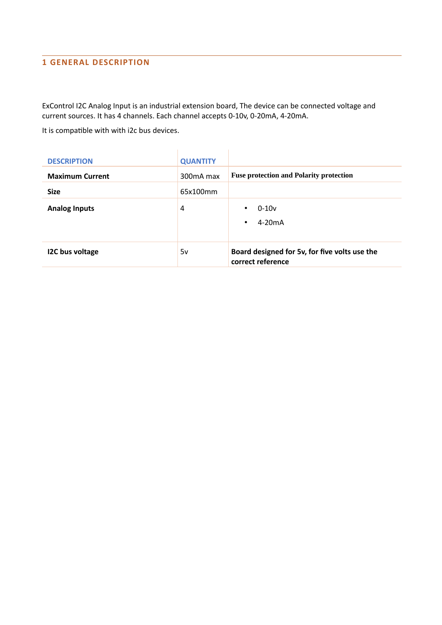# **1 GENERAL DESCRIPTION**

ExControl I2C Analog Input is an industrial extension board, The device can be connected voltage and current sources. It has 4 channels. Each channel accepts 0-10v, 0-20mA, 4-20mA.

It is compatible with with i2c bus devices.

| <b>DESCRIPTION</b>     | <b>QUANTITY</b>        |                                                                    |
|------------------------|------------------------|--------------------------------------------------------------------|
| <b>Maximum Current</b> | 300 <sub>m</sub> A max | <b>Fuse protection and Polarity protection</b>                     |
| <b>Size</b>            | 65x100mm               |                                                                    |
| <b>Analog Inputs</b>   | 4                      | $0 - 10v$<br>$\bullet$<br>$4-20mA$<br>$\bullet$                    |
| <b>I2C bus voltage</b> | 5v                     | Board designed for 5v, for five volts use the<br>correct reference |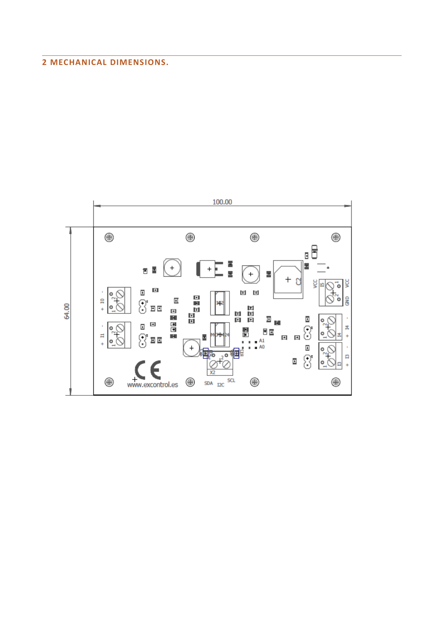# **2 MECHANICAL DIMENSIONS.**

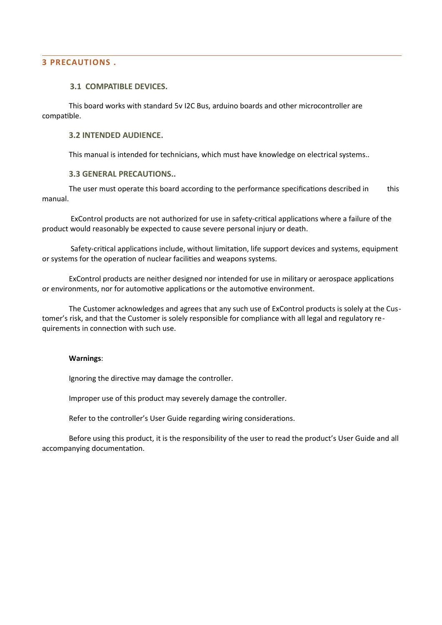#### **3 PRECAUTIONS .**

### **3.1 COMPATIBLE DEVICES.**

This board works with standard 5v I2C Bus, arduino boards and other microcontroller are compatible.

#### **3.2 INTENDED AUDIENCE.**

This manual is intended for technicians, which must have knowledge on electrical systems..

#### **3.3 GENERAL PRECAUTIONS..**

The user must operate this board according to the performance specifications described in this manual.

 ExControl products are not authorized for use in safety-critical applications where a failure of the product would reasonably be expected to cause severe personal injury or death.

 Safety-critical applications include, without limitation, life support devices and systems, equipment or systems for the operation of nuclear facilities and weapons systems.

ExControl products are neither designed nor intended for use in military or aerospace applications or environments, nor for automotive applications or the automotive environment.

The Customer acknowledges and agrees that any such use of ExControl products is solely at the Customer's risk, and that the Customer is solely responsible for compliance with all legal and regulatory requirements in connection with such use.

#### **Warnings**:

Ignoring the directive may damage the controller.

Improper use of this product may severely damage the controller.

Refer to the controller's User Guide regarding wiring considerations.

Before using this product, it is the responsibility of the user to read the product's User Guide and all accompanying documentation.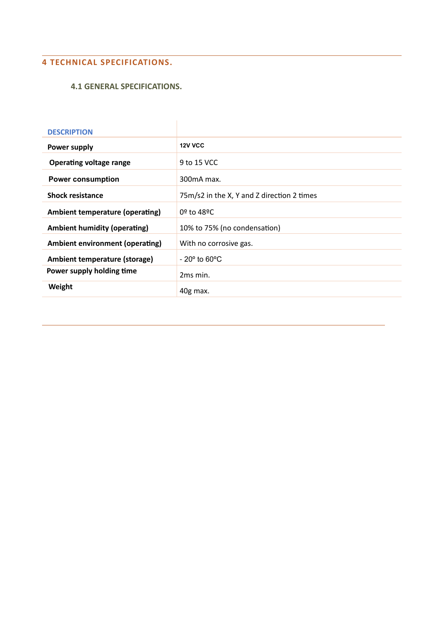# **4 TECHNICAL SPECIFICATIONS.**

## **4.1 GENERAL SPECIFICATIONS.**

| <b>DESCRIPTION</b>                     |                                            |
|----------------------------------------|--------------------------------------------|
| <b>Power supply</b>                    | 12V VCC                                    |
| <b>Operating voltage range</b>         | 9 to 15 VCC                                |
| <b>Power consumption</b>               | 300mA max.                                 |
| <b>Shock resistance</b>                | 75m/s2 in the X, Y and Z direction 2 times |
| <b>Ambient temperature (operating)</b> | 0º to 48ºC                                 |
| <b>Ambient humidity (operating)</b>    | 10% to 75% (no condensation)               |
| <b>Ambient environment (operating)</b> | With no corrosive gas.                     |
| Ambient temperature (storage)          | $-20^\circ$ to 60 $^{\circ}$ C             |
| Power supply holding time              | 2 <sub>ms</sub> min.                       |
| Weight                                 | 40g max.                                   |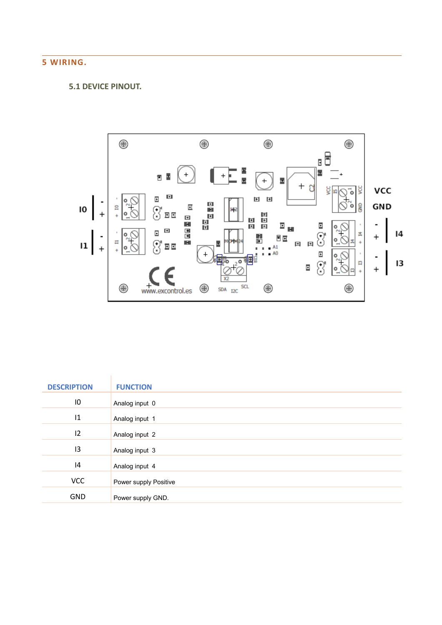# **5 WIRING.**

# **5.1 DEVICE PINOUT.**



| <b>DESCRIPTION</b> | <b>FUNCTION</b>       |
|--------------------|-----------------------|
|                    |                       |
| 10                 | Analog input 0        |
| 1                  | Analog input 1        |
| 12                 | Analog input 2        |
| 13                 | Analog input 3        |
| 4                  | Analog input 4        |
| <b>VCC</b>         | Power supply Positive |
| <b>GND</b>         | Power supply GND.     |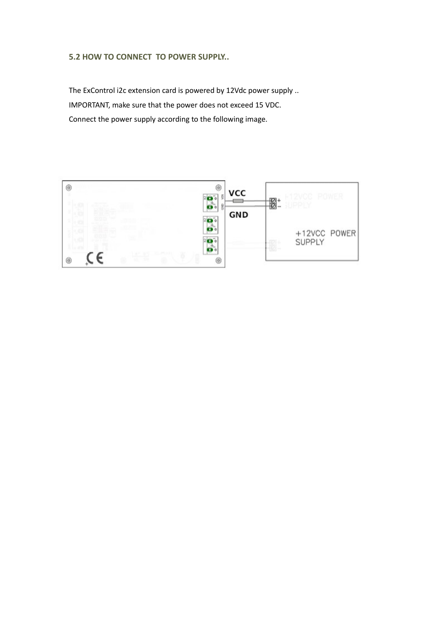## **5.2 HOW TO CONNECT TO POWER SUPPLY..**

The ExControl i2c extension card is powered by 12Vdc power supply .. IMPORTANT, make sure that the power does not exceed 15 VDC. Connect the power supply according to the following image.

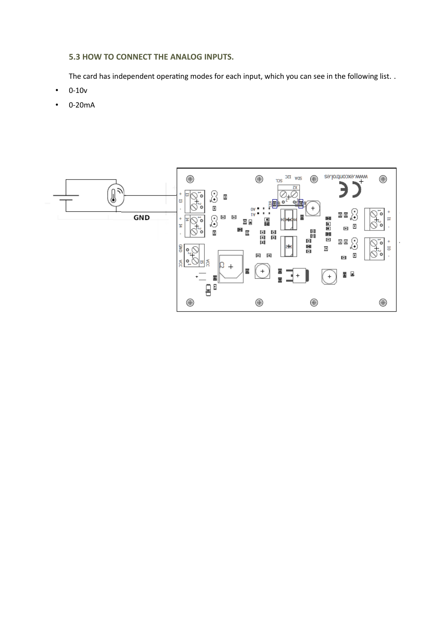## **5.3 HOW TO CONNECT THE ANALOG INPUTS.**

The card has independent operating modes for each input, which you can see in the following list. .

- 0-10v
- 0-20mA

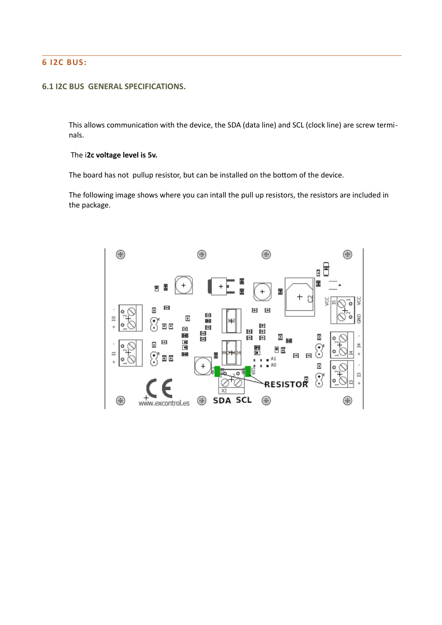## **6 I2C BUS:**

## **6.1 I2C BUS GENERAL SPECIFICATIONS.**

This allows communication with the device, the SDA (data line) and SCL (clock line) are screw terminals.

#### The i**2c voltage level is 5v.**

The board has not pullup resistor, but can be installed on the bottom of the device.

The following image shows where you can intall the pull up resistors, the resistors are included in the package.

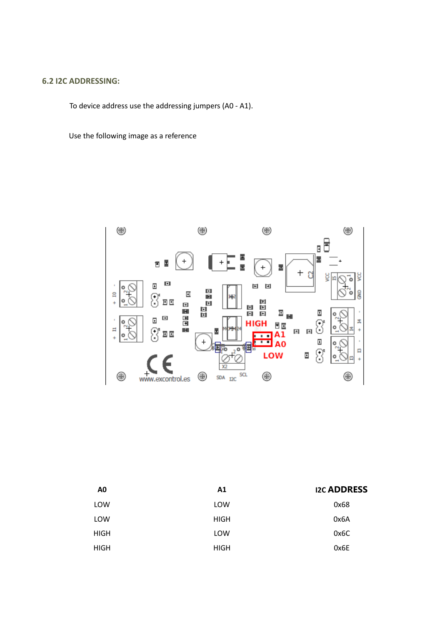## **6.2 I2C ADDRESSING:**

To device address use the addressing jumpers (A0 - A1).

Use the following image as a reference



| A <sub>0</sub> | A <sub>1</sub> | <b>I2C ADDRESS</b> |
|----------------|----------------|--------------------|
| LOW            | LOW            | 0x68               |
| LOW            | <b>HIGH</b>    | 0x6A               |
| <b>HIGH</b>    | LOW            | 0x6C               |
| <b>HIGH</b>    | <b>HIGH</b>    | 0x6E               |
|                |                |                    |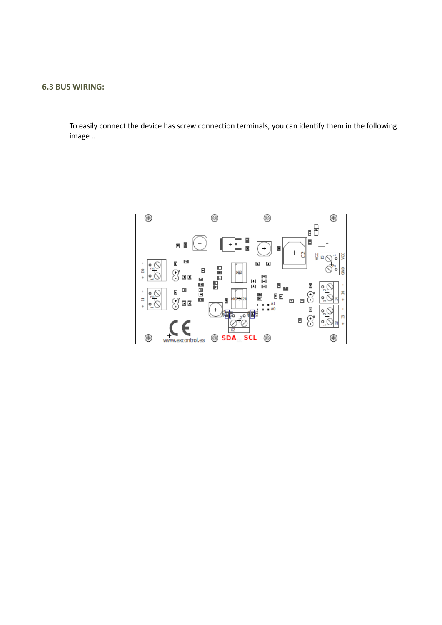## **6.3 BUS WIRING:**

To easily connect the device has screw connection terminals, you can identify them in the following image ..